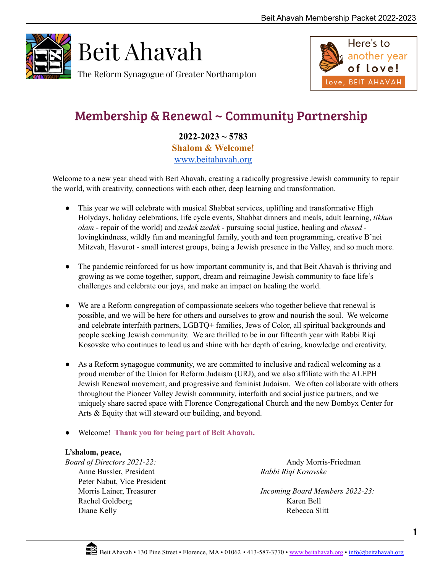

Beit Ahavah

The Reform Synagogue of Greater Northampton



# Membership & Renewal ~ Community Partnership

**2022-2023 ~ 5783 Shalom & Welcome!** [www.beitahavah.org](http://www.beitahavah.org)

Welcome to a new year ahead with Beit Ahavah, creating a radically progressive Jewish community to repair the world, with creativity, connections with each other, deep learning and transformation.

- This year we will celebrate with musical Shabbat services, uplifting and transformative High Holydays, holiday celebrations, life cycle events, Shabbat dinners and meals, adult learning, *tikkun olam* - repair of the world) and *tzedek tzedek -* pursuing social justice, healing and *chesed* lovingkindness, wildly fun and meaningful family, youth and teen programming, creative B'nei Mitzvah, Havurot - small interest groups, being a Jewish presence in the Valley, and so much more.
- The pandemic reinforced for us how important community is, and that Beit Ahavah is thriving and growing as we come together, support, dream and reimagine Jewish community to face life's challenges and celebrate our joys, and make an impact on healing the world.
- We are a Reform congregation of compassionate seekers who together believe that renewal is possible, and we will be here for others and ourselves to grow and nourish the soul. We welcome and celebrate interfaith partners, LGBTQ+ families, Jews of Color, all spiritual backgrounds and people seeking Jewish community. We are thrilled to be in our fifteenth year with Rabbi Riqi Kosovske who continues to lead us and shine with her depth of caring, knowledge and creativity.
- As a Reform synagogue community, we are committed to inclusive and radical welcoming as a proud member of the Union for Reform Judaism (URJ), and we also affiliate with the ALEPH Jewish Renewal movement, and progressive and feminist Judaism. We often collaborate with others throughout the Pioneer Valley Jewish community, interfaith and social justice partners, and we uniquely share sacred space with Florence Congregational Church and the new Bombyx Center for Arts & Equity that will steward our building, and beyond.
- Welcome! **Thank you for being part of Beit Ahavah.**

### **L'shalom, peace,**

*Board of Directors 2021-22:* Anne Bussler, President Peter Nabut, Vice President Morris Lainer, Treasurer Rachel Goldberg Diane Kelly

Andy Morris-Friedman *Rabbi Riqi Kosovske*

*Incoming Board Members 2022-23:* Karen Bell Rebecca Slitt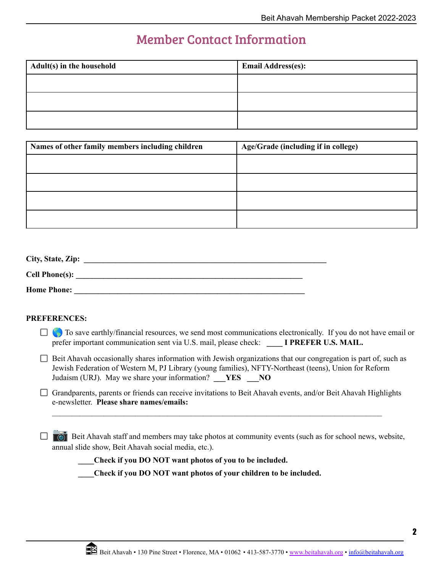### Member Contact Information

| Adult(s) in the household | <b>Email Address(es):</b> |
|---------------------------|---------------------------|
|                           |                           |
|                           |                           |
|                           |                           |

| Names of other family members including children | Age/Grade (including if in college) |
|--------------------------------------------------|-------------------------------------|
|                                                  |                                     |
|                                                  |                                     |
|                                                  |                                     |
|                                                  |                                     |

| City, State, Zip:     |  |
|-----------------------|--|
| <b>Cell Phone(s):</b> |  |
| <b>Home Phone:</b>    |  |

### **PREFERENCES:**

- $\Box$  To save earthly/financial resources, we send most communications electronically. If you do not have email or prefer important communication sent via U.S. mail, please check: **\_\_\_\_ I PREFER U.S. MAIL.**
- $\Box$  Beit Ahavah occasionally shares information with Jewish organizations that our congregation is part of, such as Jewish Federation of Western M, PJ Library (young families), NFTY-Northeast (teens), Union for Reform Judaism (URJ). May we share your information? **\_\_\_YES \_\_\_NO**
- Grandparents, parents or friends can receive invitations to Beit Ahavah events, and/or Beit Ahavah Highlights e-newsletter. **Please share names/emails:**

 $\mathcal{L}_\mathcal{L} = \{ \mathcal{L}_\mathcal{L} = \{ \mathcal{L}_\mathcal{L} = \{ \mathcal{L}_\mathcal{L} = \{ \mathcal{L}_\mathcal{L} = \{ \mathcal{L}_\mathcal{L} = \{ \mathcal{L}_\mathcal{L} = \{ \mathcal{L}_\mathcal{L} = \{ \mathcal{L}_\mathcal{L} = \{ \mathcal{L}_\mathcal{L} = \{ \mathcal{L}_\mathcal{L} = \{ \mathcal{L}_\mathcal{L} = \{ \mathcal{L}_\mathcal{L} = \{ \mathcal{L}_\mathcal{L} = \{ \mathcal{L}_\mathcal{$ 

 $\Box$  Beit Ahavah staff and members may take photos at community events (such as for school news, website, annual slide show, Beit Ahavah social media, etc.).

**\_\_\_\_Check if you DO NOT want photos of you to be included.**

**\_\_\_\_Check if you DO NOT want photos of your children to be included.**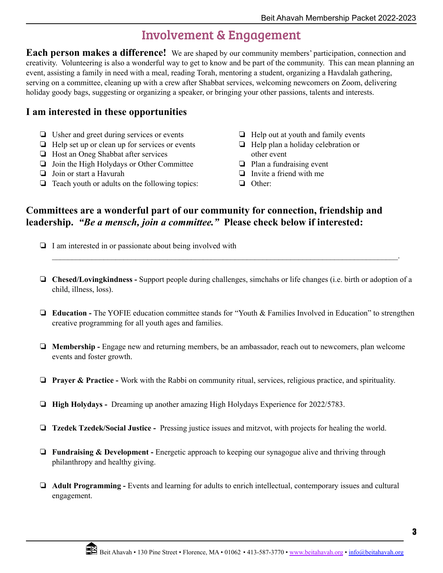## Involvement & Engagement

**Each person makes a difference!** We are shaped by our community members' participation, connection and creativity. Volunteering is also a wonderful way to get to know and be part of the community. This can mean planning an event, assisting a family in need with a meal, reading Torah, mentoring a student, organizing a Havdalah gathering, serving on a committee, cleaning up with a crew after Shabbat services, welcoming newcomers on Zoom, delivering holiday goody bags, suggesting or organizing a speaker, or bringing your other passions, talents and interests.

### **I am interested in these opportunities**

- ❏ Usher and greet during services or events
- ❏ Help set up or clean up for services or events
- ❏ Host an Oneg Shabbat after services
- ❏ Join the High Holydays or Other Committee
- ❏ Join or start a Havurah
- ❏ Teach youth or adults on the following topics:
- ❏ Help out at youth and family events
- ❏ Help plan a holiday celebration or other event
- ❏ Plan a fundraising event
- ❏ Invite a friend with me
- ❏ Other:

### **Committees are a wonderful part of our community for connection, friendship and leadership.** *"Be a mensch, join a committee."* **Please check below if interested:**

- ❏ I am interested in or passionate about being involved with
- ❏ **Chesed/Lovingkindness -** Support people during challenges, simchahs or life changes (i.e. birth or adoption of a child, illness, loss).

 $\mathcal{L}_\mathcal{L} = \mathcal{L}_\mathcal{L} = \mathcal{L}_\mathcal{L} = \mathcal{L}_\mathcal{L} = \mathcal{L}_\mathcal{L} = \mathcal{L}_\mathcal{L} = \mathcal{L}_\mathcal{L} = \mathcal{L}_\mathcal{L} = \mathcal{L}_\mathcal{L} = \mathcal{L}_\mathcal{L} = \mathcal{L}_\mathcal{L} = \mathcal{L}_\mathcal{L} = \mathcal{L}_\mathcal{L} = \mathcal{L}_\mathcal{L} = \mathcal{L}_\mathcal{L} = \mathcal{L}_\mathcal{L} = \mathcal{L}_\mathcal{L}$ 

- ❏ **Education -** The YOFIE education committee stands for "Youth & Families Involved in Education" to strengthen creative programming for all youth ages and families.
- ❏ **Membership -** Engage new and returning members, be an ambassador, reach out to newcomers, plan welcome events and foster growth.
- ❏ **Prayer & Practice -** Work with the Rabbi on community ritual, services, religious practice, and spirituality.
- ❏ **High Holydays -** Dreaming up another amazing High Holydays Experience for 2022/5783.
- ❏ **Tzedek Tzedek/Social Justice -** Pressing justice issues and mitzvot, with projects for healing the world.
- ❏ **Fundraising & Development -** Energetic approach to keeping our synagogue alive and thriving through philanthropy and healthy giving.
- ❏ **Adult Programming -** Events and learning for adults to enrich intellectual, contemporary issues and cultural engagement.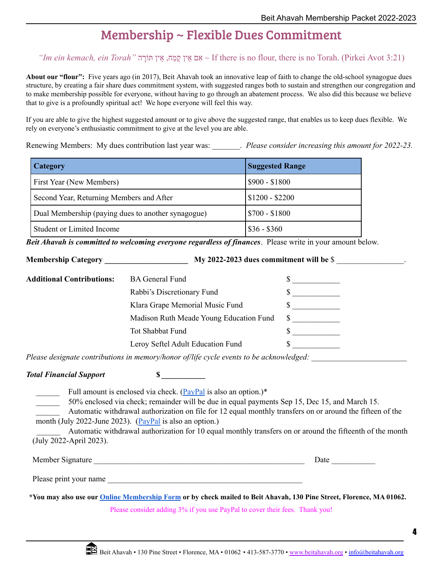# Membership ~ Flexible Dues Commitment

*"Im ein kemach, ein Torah"* רהָוֹתּ איןֵ ,מחַ קֶ איןֵ אםִ ~ If there is no flour, there is no Torah. (Pirkei Avot 3:21)

**About our "flour":** Five years ago (in 2017), Beit Ahavah took an innovative leap of faith to change the old-school synagogue dues structure, by creating a fair share dues commitment system, with suggested ranges both to sustain and strengthen our congregation and to make membership possible for everyone, without having to go through an abatement process. We also did this because we believe that to give is a profoundly spiritual act! We hope everyone will feel this way.

If you are able to give the highest suggested amount or to give above the suggested range, that enables us to keep dues flexible. We rely on everyone's enthusiastic commitment to give at the level you are able.

Renewing Members: My dues contribution last year was: \_\_\_\_\_\_\_. *Please consider increasing this amount for 2022-23.*

| <b>Category</b>                                    | <b>Suggested Range</b> |
|----------------------------------------------------|------------------------|
| First Year (New Members)                           | $$900 - $1800$         |
| Second Year, Returning Members and After           | $$1200 - $2200$        |
| Dual Membership (paying dues to another synagogue) | $$700 - $1800$         |
| Student or Limited Income                          | $\frac{$36 - $360}{ }$ |

*Beit Ahavah is committed to welcoming everyone regardless of finances*. Please write in your amount below.

**Membership Category \_\_\_\_\_\_\_\_\_\_\_\_\_\_\_\_\_\_\_\_\_ My 2022-2023 dues commitment will be** \$ \_\_\_\_\_\_\_\_\_\_\_\_\_\_\_\_\_.

| <b>Additional Contributions:</b> | <b>BA</b> General Fund                  |              |
|----------------------------------|-----------------------------------------|--------------|
|                                  | Rabbi's Discretionary Fund              |              |
|                                  | Klara Grape Memorial Music Fund         |              |
|                                  | Madison Ruth Meade Young Education Fund | <sup>S</sup> |
|                                  | Tot Shabbat Fund                        |              |
|                                  | Leroy Seftel Adult Education Fund       |              |

*Please designate contributions in memory/honor of/life cycle events to be acknowledged:* \_\_\_\_\_\_\_\_\_\_\_\_\_\_\_\_\_\_\_\_\_\_\_\_

*Total Financial Support* **\$** *\_\_\_\_\_\_\_\_\_\_\_*

Full amount is enclosed via check. ( $\frac{PayPal}{PayPal}$  $\frac{PayPal}{PayPal}$  $\frac{PayPal}{PayPal}$  is also an option.)\*

50% enclosed via check; remainder will be due in equal payments Sep 15, Dec 15, and March 15.

\_\_\_\_\_\_ Automatic withdrawal authorization on file for 12 equal monthly transfers on or around the fifteen of the month (July 2022-June 2023). [\(PayPal](https://www.paypal.com/donate/?cmd=_s-xclick&hosted_button_id=8U86JJE5238PL) is also an option.)

Automatic withdrawal authorization for 10 equal monthly transfers on or around the fifteenth of the month (July 2022-April 2023).

| Member Signature | )ate |  |
|------------------|------|--|
|                  |      |  |

Please print your name

\*You may also use our **Online [Membership](https://form.jotform.com/211385440077150) Form** or by check mailed to Beit Ahavah, 130 Pine Street, Florence, MA 01062.

Please consider adding 3% if you use PayPal to cover their fees. Thank you!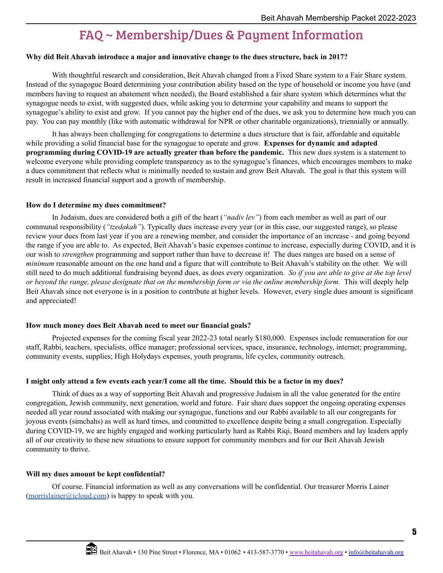# FAQ ~ Membership/Dues & Payment Information

#### **Why did Beit Ahavah introduce a major and innovative change to the dues structure, back in 2017?**

With thoughtful research and consideration, Beit Ahavah changed from a Fixed Share system to a Fair Share system. Instead of the synagogue Board determining your contribution ability based on the type of household or income you have (and members having to request an abatement when needed), the Board established a fair share system which determines what the synagogue needs to exist, with suggested dues, while asking you to determine your capability and means to support the synagogue's ability to exist and grow. If you cannot pay the higher end of the dues, we ask you to determine how much you can pay. You can pay monthly (like with automatic withdrawal for NPR or other charitable organizations), triennially or annually.

It has always been challenging for congregations to determine a dues structure that is fair, affordable and equitable while providing a solid financial base for the synagogue to operate and grow. **Expenses for dynamic and adapted programming during COVID-19 are actually greater than before the pandemic.** This new dues system is a statement to welcome everyone while providing complete transparency as to the synagogue's finances, which encourages members to make a dues commitment that reflects what is minimally needed to sustain and grow Beit Ahavah. The goal is that this system will result in increased financial support and a growth of membership.

#### **How do I determine my dues commitment?**

In Judaism, dues are considered both a gift of the heart (*"nadiv lev"*) from each member as well as part of our communal responsibility (*"tzedakah"*). Typically dues increase every year (or in this case, our suggested range), so please review your dues from last year if you are a renewing member, and consider the importance of an increase - and going beyond the range if you are able to. As expected, Beit Ahavah's basic expenses continue to increase, especially during COVID, and it is our wish to *strengthen* programming and support rather than have to decrease it! The dues ranges are based on a sense of *minimum* reasonable amount on the one hand and a figure that will contribute to Beit Ahavah's stability on the other. We will still need to do much additional fundraising beyond dues, as does every organization. *So if you are able to give at the top level or beyond the range, please designate that on the membership form or via the online membership form.* This will deeply help Beit Ahavah since not everyone is in a position to contribute at higher levels. However, every single dues amount is significant and appreciated!

#### **How much money does Beit Ahavah need to meet our financial goals?**

Projected expenses for the coming fiscal year 2022-23 total nearly \$180,000. Expenses include remuneration for our staff, Rabbi, teachers, specialists, office manager; professional services, space, insurance, technology, internet; programming, community events, supplies; High Holydays expenses, youth programs, life cycles, community outreach.

#### **I might only attend a few events each year/I come all the time. Should this be a factor in my dues?**

Think of dues as a way of supporting Beit Ahavah and progressive Judaism in all the value generated for the entire congregation, Jewish community, next generation, world and future. Fair share dues support the ongoing operating expenses needed all year round associated with making our synagogue, functions and our Rabbi available to all our congregants for joyous events (simchahs) as well as hard times, and committed to excellence despite being a small congregation. Especially during COVID-19, we are highly engaged and working particularly hard as Rabbi Riqi, Board members and lay leaders apply all of our creativity to these new situations to ensure support for community members and for our Beit Ahavah Jewish community to thrive.

#### **Will my dues amount be kept confidential?**

Of course. Financial information as well as any conversations will be confidential. Our treasurer Morris Lainer  $(morrislainer@icloud.com)$  $(morrislainer@icloud.com)$  is happy to speak with you.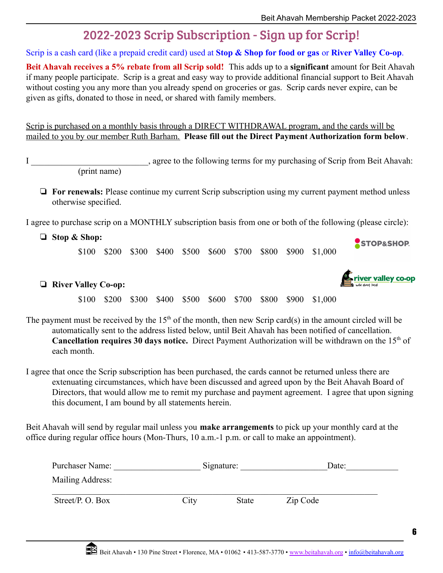# 2022-2023 Scrip Subscription - Sign up for Scrip!

Scrip is a cash card (like a prepaid credit card) used at **Stop & Shop for food or gas** or **River Valley Co-op**.

**Beit Ahavah receives a 5% rebate from all Scrip sold!** This adds up to a **significant** amount for Beit Ahavah if many people participate. Scrip is a great and easy way to provide additional financial support to Beit Ahavah without costing you any more than you already spend on groceries or gas. Scrip cards never expire, can be given as gifts, donated to those in need, or shared with family members.

Scrip is purchased on a monthly basis through a DIRECT WITHDRAWAL program, and the cards will be mailed to you by our member Ruth Barham. **Please fill out the Direct Payment Authorization form below**.

I garea to the following terms for my purchasing of Scrip from Beit Ahavah: (print name)

❏ **For renewals:** Please continue my current Scrip subscription using my current payment method unless otherwise specified.

I agree to purchase scrip on a MONTHLY subscription basis from one or both of the following (please circle):

❏ **Stop & Shop:**

\$100 \$200 \$300 \$400 \$500 \$600 \$700 \$800 \$900 \$1,000



STOP&SHOP

### ❏ **River Valley Co-op:**

\$100 \$200 \$300 \$400 \$500 \$600 \$700 \$800 \$900 \$1,000

The payment must be received by the  $15<sup>th</sup>$  of the month, then new Scrip card(s) in the amount circled will be automatically sent to the address listed below, until Beit Ahavah has been notified of cancellation. **Cancellation requires 30 days notice.** Direct Payment Authorization will be withdrawn on the 15<sup>th</sup> of each month.

I agree that once the Scrip subscription has been purchased, the cards cannot be returned unless there are extenuating circumstances, which have been discussed and agreed upon by the Beit Ahavah Board of Directors, that would allow me to remit my purchase and payment agreement. I agree that upon signing this document, I am bound by all statements herein.

Beit Ahavah will send by regular mail unless you **make arrangements** to pick up your monthly card at the office during regular office hours (Mon-Thurs, 10 a.m.-1 p.m. or call to make an appointment).

| Purchaser Name:  |      | Signature:   | Date:    |  |
|------------------|------|--------------|----------|--|
| Mailing Address: |      |              |          |  |
| Street/P. O. Box | City | <b>State</b> | Zip Code |  |